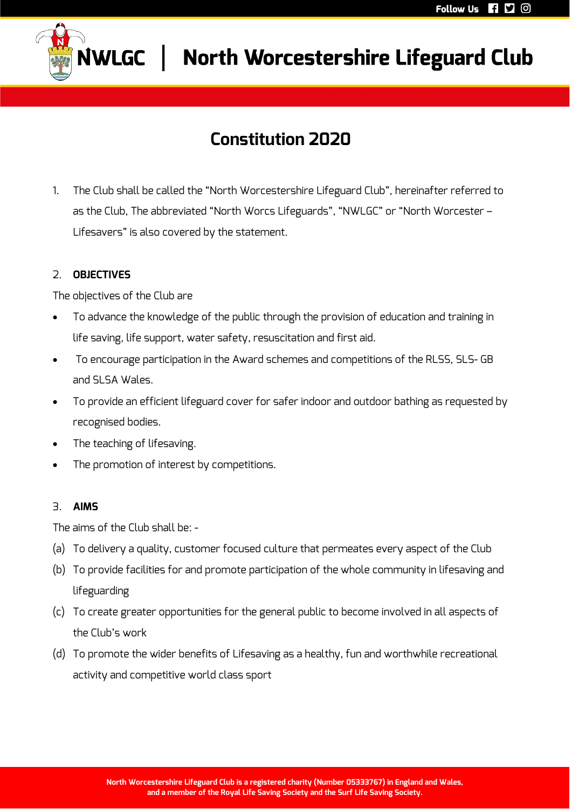

# **SWLGC** North Worcestershire Lifeguard Club

### **Constitution 2020**

1. The Club shall be called the "North Worcestershire Lifeguard Club", hereinafter referred to as the Club, The abbreviated "North Worcs Lifeguards", "NWLGC" or "North Worcester – Lifesavers" is also covered by the statement.

### 2. **OBJECTIVES**

The objectives of the Club are

- To advance the knowledge of the public through the provision of education and training in life saving, life support, water safety, resuscitation and first aid.
- To encourage participation in the Award schemes and competitions of the RLSS, SLS- GB and SLSA Wales.
- To provide an efficient lifeguard cover for safer indoor and outdoor bathing as requested by recognised bodies.
- The teaching of lifesaving.
- The promotion of interest by competitions.

#### 3. **AIMS**

The aims of the Club shall be: -

- (a) To delivery a quality, customer focused culture that permeates every aspect of the Club
- (b) To provide facilities for and promote participation of the whole community in lifesaving and lifeguarding
- (c) To create greater opportunities for the general public to become involved in all aspects of the Club's work
- (d) To promote the wider benefits of Lifesaving as a healthy, fun and worthwhile recreational activity and competitive world class sport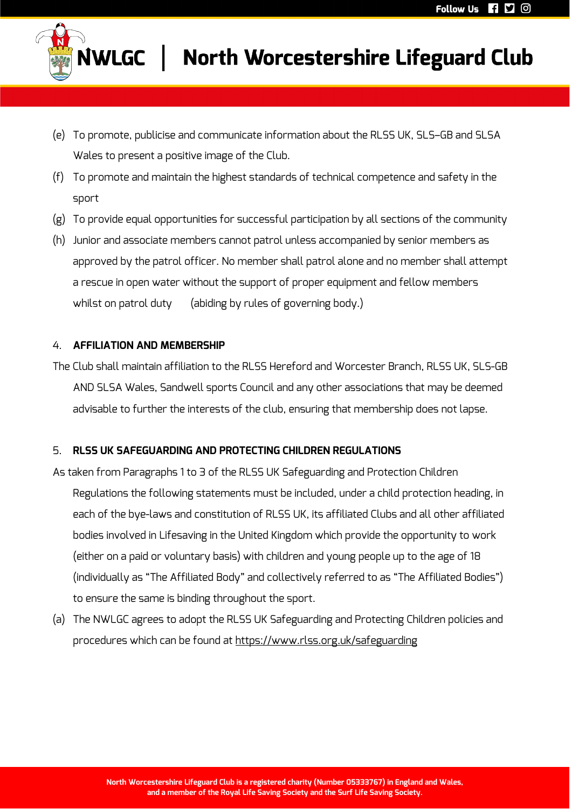

- (e) To promote, publicise and communicate information about the RLSS UK, SLS–GB and SLSA Wales to present a positive image of the Club.
- (f) To promote and maintain the highest standards of technical competence and safety in the sport
- (g) To provide equal opportunities for successful participation by all sections of the community
- (h) Junior and associate members cannot patrol unless accompanied by senior members as approved by the patrol officer. No member shall patrol alone and no member shall attempt a rescue in open water without the support of proper equipment and fellow members whilst on patrol duty (abiding by rules of governing body.)

### 4. **AFFILIATION AND MEMBERSHIP**

The Club shall maintain affiliation to the RLSS Hereford and Worcester Branch, RLSS UK, SLS-GB AND SLSA Wales, Sandwell sports Council and any other associations that may be deemed advisable to further the interests of the club, ensuring that membership does not lapse.

### 5. **RLSS UK SAFEGUARDING AND PROTECTING CHILDREN REGULATIONS**

- As taken from Paragraphs 1 to 3 of the RLSS UK Safeguarding and Protection Children Regulations the following statements must be included, under a child protection heading, in each of the bye-laws and constitution of RLSS UK, its affiliated Clubs and all other affiliated bodies involved in Lifesaving in the United Kingdom which provide the opportunity to work (either on a paid or voluntary basis) with children and young people up to the age of 18 (individually as "The Affiliated Body" and collectively referred to as "The Affiliated Bodies") to ensure the same is binding throughout the sport.
- (a) The NWLGC agrees to adopt the RLSS UK Safeguarding and Protecting Children policies and procedures which can be found at https://www.rlss.org.uk/safeguarding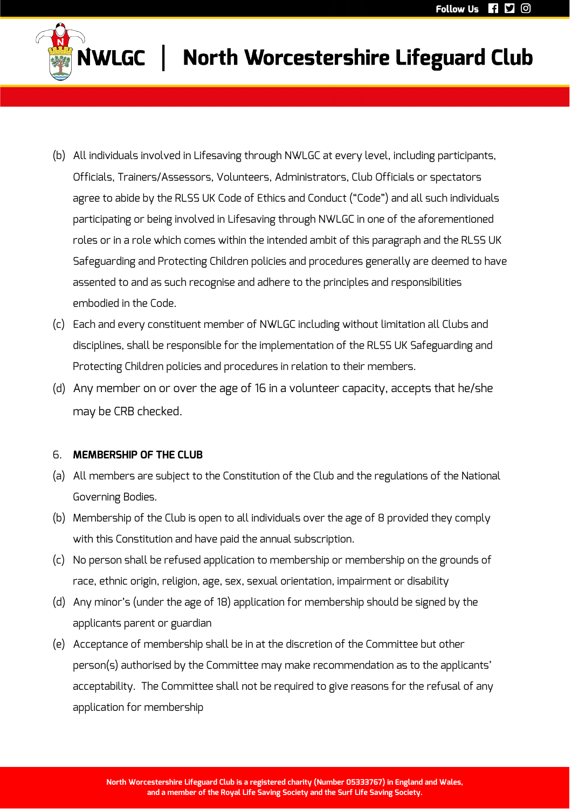

- (b) All individuals involved in Lifesaving through NWLGC at every level, including participants, Officials, Trainers/Assessors, Volunteers, Administrators, Club Officials or spectators agree to abide by the RLSS UK Code of Ethics and Conduct ("Code") and all such individuals participating or being involved in Lifesaving through NWLGC in one of the aforementioned roles or in a role which comes within the intended ambit of this paragraph and the RLSS UK Safeguarding and Protecting Children policies and procedures generally are deemed to have assented to and as such recognise and adhere to the principles and responsibilities embodied in the Code.
- (c) Each and every constituent member of NWLGC including without limitation all Clubs and disciplines, shall be responsible for the implementation of the RLSS UK Safeguarding and Protecting Children policies and procedures in relation to their members.
- (d) Any member on or over the age of 16 in a volunteer capacity, accepts that he/she may be CRB checked.

#### 6. **MEMBERSHIP OF THE CLUB**

- (a) All members are subject to the Constitution of the Club and the regulations of the National Governing Bodies.
- (b) Membership of the Club is open to all individuals over the age of 8 provided they comply with this Constitution and have paid the annual subscription.
- (c) No person shall be refused application to membership or membership on the grounds of race, ethnic origin, religion, age, sex, sexual orientation, impairment or disability
- (d) Any minor's (under the age of 18) application for membership should be signed by the applicants parent or guardian
- (e) Acceptance of membership shall be in at the discretion of the Committee but other person(s) authorised by the Committee may make recommendation as to the applicants' acceptability. The Committee shall not be required to give reasons for the refusal of any application for membership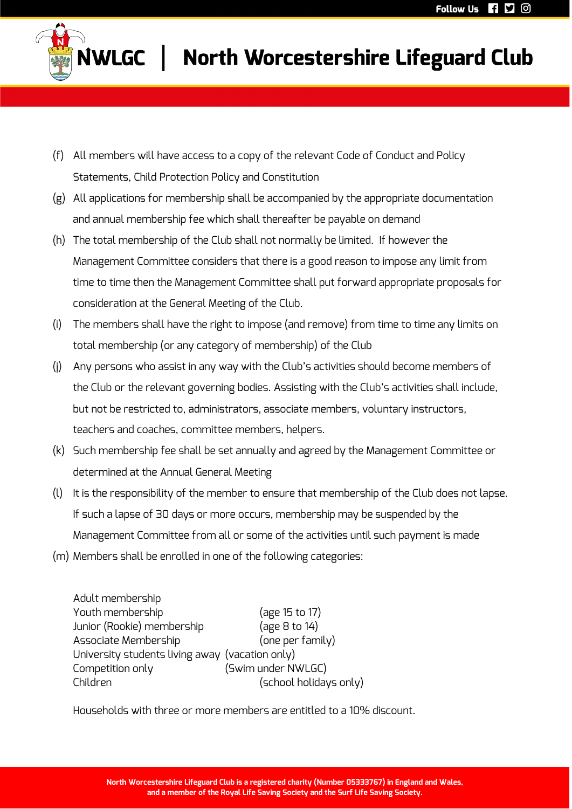

- (f) All members will have access to a copy of the relevant Code of Conduct and Policy Statements, Child Protection Policy and Constitution
- (g) All applications for membership shall be accompanied by the appropriate documentation and annual membership fee which shall thereafter be payable on demand
- (h) The total membership of the Club shall not normally be limited. If however the Management Committee considers that there is a good reason to impose any limit from time to time then the Management Committee shall put forward appropriate proposals for consideration at the General Meeting of the Club.
- (i) The members shall have the right to impose (and remove) from time to time any limits on total membership (or any category of membership) of the Club
- (j) Any persons who assist in any way with the Club's activities should become members of the Club or the relevant governing bodies. Assisting with the Club's activities shall include, but not be restricted to, administrators, associate members, voluntary instructors, teachers and coaches, committee members, helpers.
- (k) Such membership fee shall be set annually and agreed by the Management Committee or determined at the Annual General Meeting
- (l) It is the responsibility of the member to ensure that membership of the Club does not lapse. If such a lapse of 30 days or more occurs, membership may be suspended by the Management Committee from all or some of the activities until such payment is made
- (m) Members shall be enrolled in one of the following categories:

| Adult membership                                |                        |
|-------------------------------------------------|------------------------|
| Youth membership                                | (age 15 to 17)         |
| Junior (Rookie) membership                      | (age 8 to 14)          |
| Associate Membership                            | (one per family)       |
| University students living away (vacation only) |                        |
| Competition only                                | (Swim under NWLGC)     |
| Children                                        | (school holidays only) |

Households with three or more members are entitled to a 10% discount.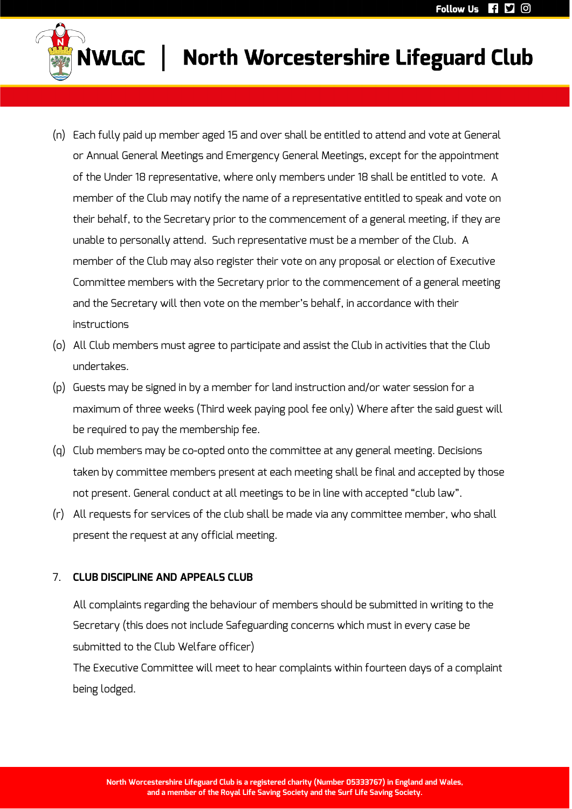

# **JWLGC** | North Worcestershire Lifeguard Club

- (n) Each fully paid up member aged 15 and over shall be entitled to attend and vote at General or Annual General Meetings and Emergency General Meetings, except for the appointment of the Under 18 representative, where only members under 18 shall be entitled to vote. A member of the Club may notify the name of a representative entitled to speak and vote on their behalf, to the Secretary prior to the commencement of a general meeting, if they are unable to personally attend. Such representative must be a member of the Club. A member of the Club may also register their vote on any proposal or election of Executive Committee members with the Secretary prior to the commencement of a general meeting and the Secretary will then vote on the member's behalf, in accordance with their instructions
- (o) All Club members must agree to participate and assist the Club in activities that the Club undertakes.
- (p) Guests may be signed in by a member for land instruction and/or water session for a maximum of three weeks (Third week paying pool fee only) Where after the said guest will be required to pay the membership fee.
- (q) Club members may be co-opted onto the committee at any general meeting. Decisions taken by committee members present at each meeting shall be final and accepted by those not present. General conduct at all meetings to be in line with accepted "club law".
- (r) All requests for services of the club shall be made via any committee member, who shall present the request at any official meeting.

#### 7. **CLUB DISCIPLINE AND APPEALS CLUB**

All complaints regarding the behaviour of members should be submitted in writing to the Secretary (this does not include Safeguarding concerns which must in every case be submitted to the Club Welfare officer)

The Executive Committee will meet to hear complaints within fourteen days of a complaint being lodged.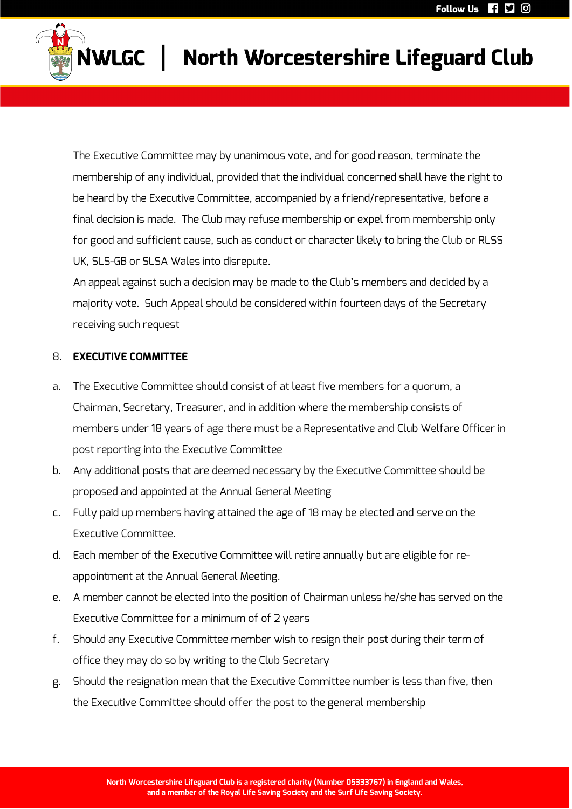

# NWLGC | North Worcestershire Lifeguard Club

The Executive Committee may by unanimous vote, and for good reason, terminate the membership of any individual, provided that the individual concerned shall have the right to be heard by the Executive Committee, accompanied by a friend/representative, before a final decision is made. The Club may refuse membership or expel from membership only for good and sufficient cause, such as conduct or character likely to bring the Club or RLSS UK, SLS-GB or SLSA Wales into disrepute.

An appeal against such a decision may be made to the Club's members and decided by a majority vote. Such Appeal should be considered within fourteen days of the Secretary receiving such request

#### 8. **EXECUTIVE COMMITTEE**

- a. The Executive Committee should consist of at least five members for a quorum, a Chairman, Secretary, Treasurer, and in addition where the membership consists of members under 18 years of age there must be a Representative and Club Welfare Officer in post reporting into the Executive Committee
- b. Any additional posts that are deemed necessary by the Executive Committee should be proposed and appointed at the Annual General Meeting
- c. Fully paid up members having attained the age of 18 may be elected and serve on the Executive Committee.
- d. Each member of the Executive Committee will retire annually but are eligible for reappointment at the Annual General Meeting.
- e. A member cannot be elected into the position of Chairman unless he/she has served on the Executive Committee for a minimum of of 2 years
- f. Should any Executive Committee member wish to resign their post during their term of office they may do so by writing to the Club Secretary
- g. Should the resignation mean that the Executive Committee number is less than five, then the Executive Committee should offer the post to the general membership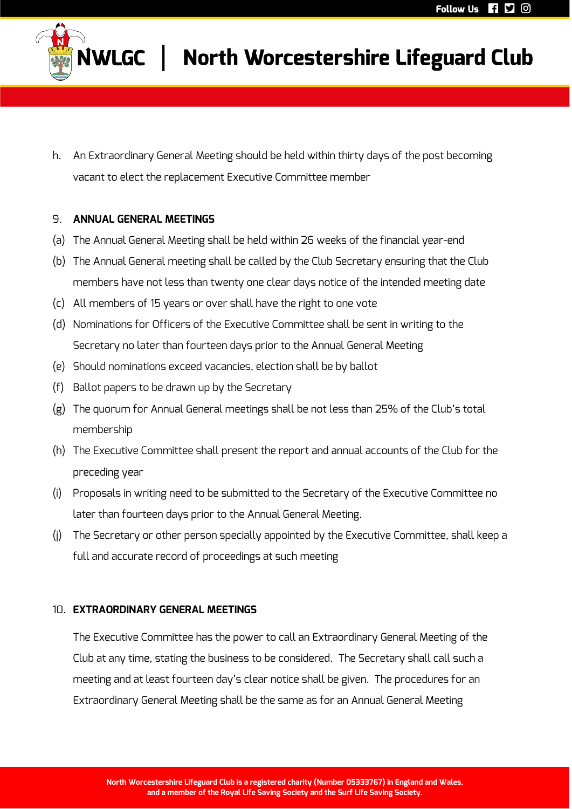

h. An Extraordinary General Meeting should be held within thirty days of the post becoming vacant to elect the replacement Executive Committee member

#### 9. **ANNUAL GENERAL MEETINGS**

- (a) The Annual General Meeting shall be held within 26 weeks of the financial year-end
- (b) The Annual General meeting shall be called by the Club Secretary ensuring that the Club members have not less than twenty one clear days notice of the intended meeting date
- (c) All members of 15 years or over shall have the right to one vote
- (d) Nominations for Officers of the Executive Committee shall be sent in writing to the Secretary no later than fourteen days prior to the Annual General Meeting
- (e) Should nominations exceed vacancies, election shall be by ballot
- (f) Ballot papers to be drawn up by the Secretary
- (g) The quorum for Annual General meetings shall be not less than 25% of the Club's total membership
- (h) The Executive Committee shall present the report and annual accounts of the Club for the preceding year
- (i) Proposals in writing need to be submitted to the Secretary of the Executive Committee no later than fourteen days prior to the Annual General Meeting.
- (j) The Secretary or other person specially appointed by the Executive Committee, shall keep a full and accurate record of proceedings at such meeting

#### 10. **EXTRAORDINARY GENERAL MEETINGS**

The Executive Committee has the power to call an Extraordinary General Meeting of the Club at any time, stating the business to be considered. The Secretary shall call such a meeting and at least fourteen day's clear notice shall be given. The procedures for an Extraordinary General Meeting shall be the same as for an Annual General Meeting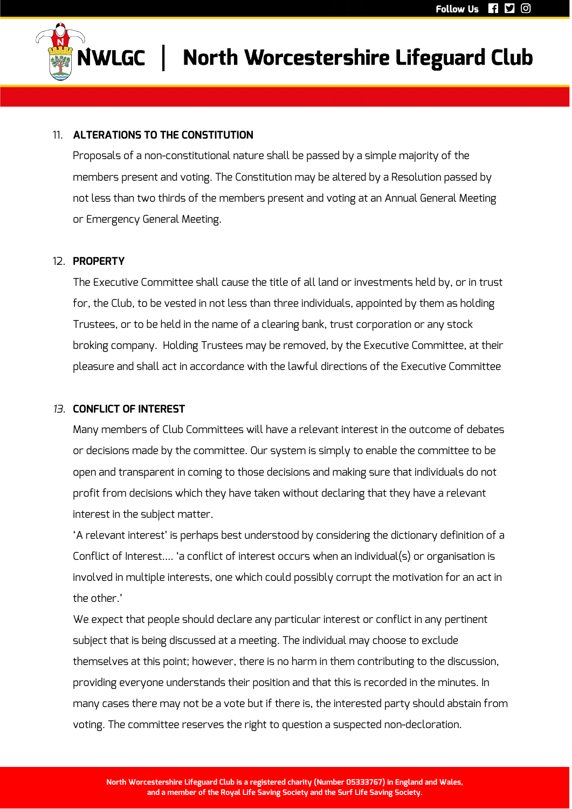

# NWLGC | North Worcestershire Lifeguard Club

#### 11. **ALTERATIONS TO THE CONSTITUTION**

Proposals of a non-constitutional nature shall be passed by a simple majority of the members present and voting. The Constitution may be altered by a Resolution passed by not less than two thirds of the members present and voting at an Annual General Meeting or Emergency General Meeting.

#### 12. **PROPERTY**

The Executive Committee shall cause the title of all land or investments held by, or in trust for, the Club, to be vested in not less than three individuals, appointed by them as holding Trustees, or to be held in the name of a clearing bank, trust corporation or any stock broking company. Holding Trustees may be removed, by the Executive Committee, at their pleasure and shall act in accordance with the lawful directions of the Executive Committee

#### *13.* **CONFLICT OF INTEREST**

Many members of Club Committees will have a relevant interest in the outcome of debates or decisions made by the committee. Our system is simply to enable the committee to be open and transparent in coming to those decisions and making sure that individuals do not profit from decisions which they have taken without declaring that they have a relevant interest in the subject matter.

'A relevant interest' is perhaps best understood by considering the dictionary definition of a Conflict of Interest…. 'a conflict of interest occurs when an individual(s) or organisation is involved in multiple interests, one which could possibly corrupt the motivation for an act in the other.'

We expect that people should declare any particular interest or conflict in any pertinent subject that is being discussed at a meeting. The individual may choose to exclude themselves at this point; however, there is no harm in them contributing to the discussion, providing everyone understands their position and that this is recorded in the minutes. In many cases there may not be a vote but if there is, the interested party should abstain from voting. The committee reserves the right to question a suspected non-decloration.